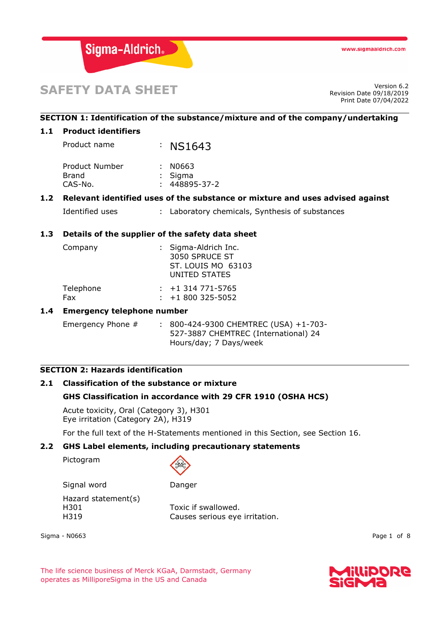

# **SAFETY DATA SHEET** Version 6.2

Revision Date 09/18/2019 Print Date 07/04/2022

# **SECTION 1: Identification of the substance/mixture and of the company/undertaking**

# **1.1 Product identifiers**

Product name : NS1643 Product Number : N0663 Brand : Sigma CAS-No. : 448895-37-2

# **1.2 Relevant identified uses of the substance or mixture and uses advised against**

Identified uses : Laboratory chemicals, Synthesis of substances

# **1.3 Details of the supplier of the safety data sheet**

| Company   | : Sigma-Aldrich Inc.<br>3050 SPRUCE ST<br>ST. LOUIS MO 63103<br>UNITED STATES |
|-----------|-------------------------------------------------------------------------------|
| Telephone | $: +1314771 - 5765$                                                           |

| <u>rerepriorie</u> |                        |
|--------------------|------------------------|
| Fax                | $\div$ +1 800 325-5052 |

# **1.4 Emergency telephone number**

Emergency Phone # : 800-424-9300 CHEMTREC (USA) +1-703-527-3887 CHEMTREC (International) 24 Hours/day; 7 Days/week

# **SECTION 2: Hazards identification**

# **2.1 Classification of the substance or mixture**

# **GHS Classification in accordance with 29 CFR 1910 (OSHA HCS)**

Acute toxicity, Oral (Category 3), H301 Eye irritation (Category 2A), H319

For the full text of the H-Statements mentioned in this Section, see Section 16.

# **2.2 GHS Label elements, including precautionary statements**

Pictogram



Signal word Danger Hazard statement(s) H301 Toxic if swallowed.

H319 Causes serious eye irritation.

Sigma - N0663 Page 1 of 8

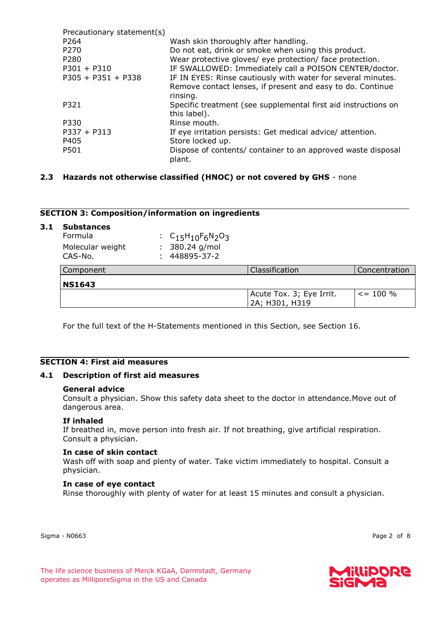| Precautionary statement(s) |                                                                |
|----------------------------|----------------------------------------------------------------|
| P264                       | Wash skin thoroughly after handling.                           |
| P270                       | Do not eat, drink or smoke when using this product.            |
| P280                       | Wear protective gloves/ eye protection/ face protection.       |
| $P301 + P310$              | IF SWALLOWED: Immediately call a POISON CENTER/doctor.         |
| $P305 + P351 + P338$       | IF IN EYES: Rinse cautiously with water for several minutes.   |
|                            | Remove contact lenses, if present and easy to do. Continue     |
|                            | rinsing.                                                       |
| P321                       | Specific treatment (see supplemental first aid instructions on |
|                            | this label).                                                   |
| P330                       | Rinse mouth.                                                   |
| $P337 + P313$              | If eye irritation persists: Get medical advice/attention.      |
| P405                       | Store locked up.                                               |
| P501                       | Dispose of contents/ container to an approved waste disposal   |
|                            | plant.                                                         |
|                            |                                                                |

# **2.3 Hazards not otherwise classified (HNOC) or not covered by GHS** - none

# **SECTION 3: Composition/information on ingredients**

#### **3.1 Substances**

| $\sum$ is a set of $\sum$ in the set of $\sum$ |                           |
|------------------------------------------------|---------------------------|
| CAS-No.                                        | $: 448895 - 37 - 2$       |
| Molecular weight                               | $: 380.24$ g/mol          |
| Formula                                        | : $C_{15}H_{10}F_6N_2O_3$ |

| Component     | Classification                             | <b>Concentration</b> |
|---------------|--------------------------------------------|----------------------|
| <b>NS1643</b> |                                            |                      |
|               | Acute Tox. 3; Eye Irrit.<br>2A; H301, H319 | $\leq$ = 100 %       |

For the full text of the H-Statements mentioned in this Section, see Section 16.

## **SECTION 4: First aid measures**

#### **4.1 Description of first aid measures**

#### **General advice**

Consult a physician. Show this safety data sheet to the doctor in attendance.Move out of dangerous area.

#### **If inhaled**

If breathed in, move person into fresh air. If not breathing, give artificial respiration. Consult a physician.

#### **In case of skin contact**

Wash off with soap and plenty of water. Take victim immediately to hospital. Consult a physician.

#### **In case of eye contact**

Rinse thoroughly with plenty of water for at least 15 minutes and consult a physician.

Sigma - N0663 Page 2 of 8



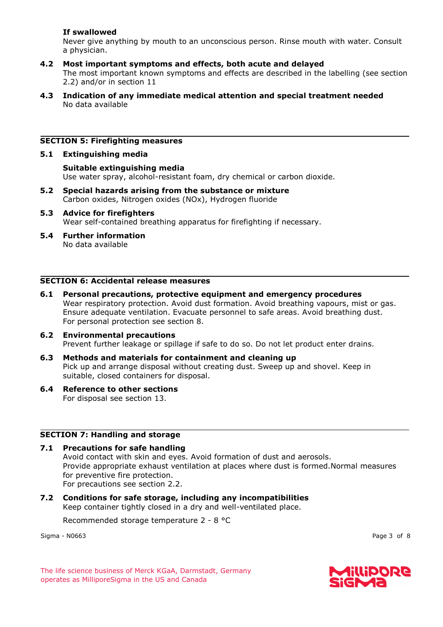# **If swallowed**

Never give anything by mouth to an unconscious person. Rinse mouth with water. Consult a physician.

- **4.2 Most important symptoms and effects, both acute and delayed** The most important known symptoms and effects are described in the labelling (see section 2.2) and/or in section 11
- **4.3 Indication of any immediate medical attention and special treatment needed** No data available

# **SECTION 5: Firefighting measures**

# **5.1 Extinguishing media**

**Suitable extinguishing media** Use water spray, alcohol-resistant foam, dry chemical or carbon dioxide.

- **5.2 Special hazards arising from the substance or mixture** Carbon oxides, Nitrogen oxides (NOx), Hydrogen fluoride
- **5.3 Advice for firefighters** Wear self-contained breathing apparatus for firefighting if necessary.
- **5.4 Further information** No data available

# **SECTION 6: Accidental release measures**

- **6.1 Personal precautions, protective equipment and emergency procedures** Wear respiratory protection. Avoid dust formation. Avoid breathing vapours, mist or gas. Ensure adequate ventilation. Evacuate personnel to safe areas. Avoid breathing dust. For personal protection see section 8.
- **6.2 Environmental precautions** Prevent further leakage or spillage if safe to do so. Do not let product enter drains.
- **6.3 Methods and materials for containment and cleaning up** Pick up and arrange disposal without creating dust. Sweep up and shovel. Keep in suitable, closed containers for disposal.
- **6.4 Reference to other sections** For disposal see section 13.

# **SECTION 7: Handling and storage**

**7.1 Precautions for safe handling**

Avoid contact with skin and eyes. Avoid formation of dust and aerosols. Provide appropriate exhaust ventilation at places where dust is formed.Normal measures for preventive fire protection. For precautions see section 2.2.

**7.2 Conditions for safe storage, including any incompatibilities** Keep container tightly closed in a dry and well-ventilated place.

Recommended storage temperature 2 - 8 °C

Sigma - N0663 Page 3 of 8

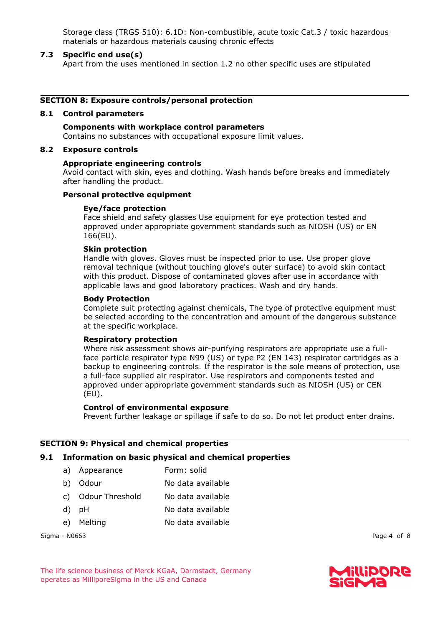Storage class (TRGS 510): 6.1D: Non-combustible, acute toxic Cat.3 / toxic hazardous materials or hazardous materials causing chronic effects

#### **7.3 Specific end use(s)**

Apart from the uses mentioned in section 1.2 no other specific uses are stipulated

#### **SECTION 8: Exposure controls/personal protection**

#### **8.1 Control parameters**

**Components with workplace control parameters** Contains no substances with occupational exposure limit values.

#### **8.2 Exposure controls**

#### **Appropriate engineering controls**

Avoid contact with skin, eyes and clothing. Wash hands before breaks and immediately after handling the product.

# **Personal protective equipment**

#### **Eye/face protection**

Face shield and safety glasses Use equipment for eye protection tested and approved under appropriate government standards such as NIOSH (US) or EN 166(EU).

# **Skin protection**

Handle with gloves. Gloves must be inspected prior to use. Use proper glove removal technique (without touching glove's outer surface) to avoid skin contact with this product. Dispose of contaminated gloves after use in accordance with applicable laws and good laboratory practices. Wash and dry hands.

#### **Body Protection**

Complete suit protecting against chemicals, The type of protective equipment must be selected according to the concentration and amount of the dangerous substance at the specific workplace.

#### **Respiratory protection**

Where risk assessment shows air-purifying respirators are appropriate use a fullface particle respirator type N99 (US) or type P2 (EN 143) respirator cartridges as a backup to engineering controls. If the respirator is the sole means of protection, use a full-face supplied air respirator. Use respirators and components tested and approved under appropriate government standards such as NIOSH (US) or CEN (EU).

#### **Control of environmental exposure**

Prevent further leakage or spillage if safe to do so. Do not let product enter drains.

#### **SECTION 9: Physical and chemical properties**

#### **9.1 Information on basic physical and chemical properties**

- a) Appearance Form: solid
- b) Odour No data available
- c) Odour Threshold No data available
- d) pH No data available
- e) Melting No data available

Sigma - N0663 Page 4 of 8

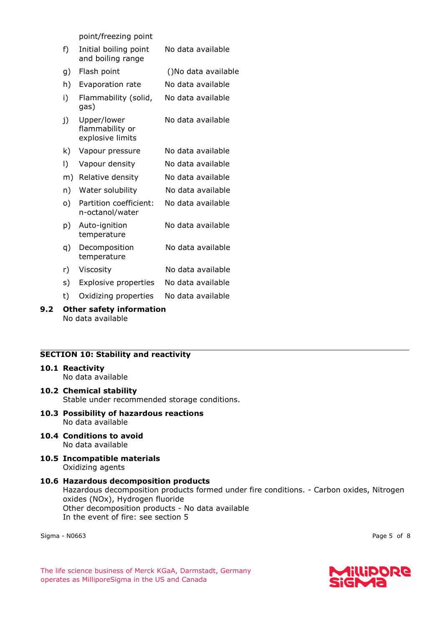point/freezing point

- f) Initial boiling point and boiling range No data available
- g) Flash point ()No data available
- h) Evaporation rate No data available
- i) Flammability (solid, gas) No data available
- j) Upper/lower flammability or explosive limits No data available
- k) Vapour pressure No data available
- l) Vapour density No data available
- m) Relative density No data available
- n) Water solubility No data available
- o) Partition coefficient: n-octanol/water No data available
- p) Auto-ignition temperature No data available
- q) Decomposition temperature No data available
- r) Viscosity No data available
- s) Explosive properties No data available
- t) Oxidizing properties No data available

#### **9.2 Other safety information** No data available

# **SECTION 10: Stability and reactivity**

# **10.1 Reactivity**

No data available

- **10.2 Chemical stability** Stable under recommended storage conditions.
- **10.3 Possibility of hazardous reactions** No data available
- **10.4 Conditions to avoid** No data available
- **10.5 Incompatible materials** Oxidizing agents
- **10.6 Hazardous decomposition products** Hazardous decomposition products formed under fire conditions. - Carbon oxides, Nitrogen oxides (NOx), Hydrogen fluoride Other decomposition products - No data available In the event of fire: see section 5

Sigma - N0663 Page 5 of 8

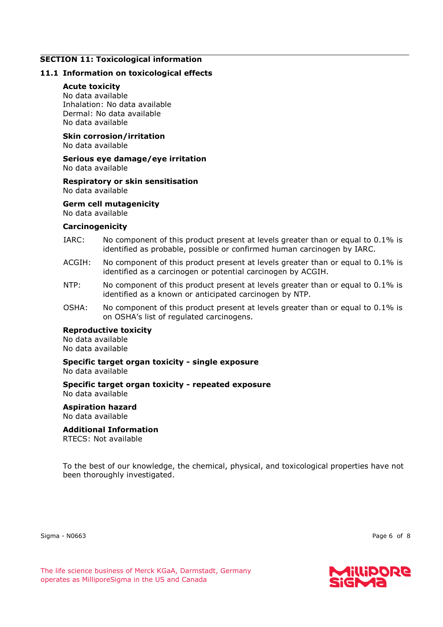## **SECTION 11: Toxicological information**

# **11.1 Information on toxicological effects**

#### **Acute toxicity**

No data available Inhalation: No data available Dermal: No data available No data available

#### **Skin corrosion/irritation** No data available

#### **Serious eye damage/eye irritation** No data available

#### **Respiratory or skin sensitisation** No data available

# **Germ cell mutagenicity**

No data available

#### **Carcinogenicity**

- IARC: No component of this product present at levels greater than or equal to 0.1% is identified as probable, possible or confirmed human carcinogen by IARC.
- ACGIH: No component of this product present at levels greater than or equal to 0.1% is identified as a carcinogen or potential carcinogen by ACGIH.
- NTP: No component of this product present at levels greater than or equal to 0.1% is identified as a known or anticipated carcinogen by NTP.
- OSHA: No component of this product present at levels greater than or equal to 0.1% is on OSHA's list of regulated carcinogens.

#### **Reproductive toxicity**

No data available No data available

#### **Specific target organ toxicity - single exposure** No data available

**Specific target organ toxicity - repeated exposure** No data available

# **Aspiration hazard** No data available

# **Additional Information**

RTECS: Not available

To the best of our knowledge, the chemical, physical, and toxicological properties have not been thoroughly investigated.

Sigma - N0663 Page 6 of 8

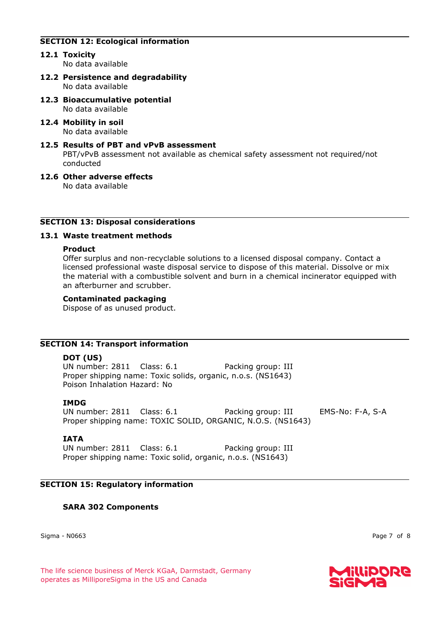# **SECTION 12: Ecological information**

**12.1 Toxicity**

No data available

- **12.2 Persistence and degradability** No data available
- **12.3 Bioaccumulative potential** No data available
- **12.4 Mobility in soil** No data available
- **12.5 Results of PBT and vPvB assessment** PBT/vPvB assessment not available as chemical safety assessment not required/not conducted
- **12.6 Other adverse effects** No data available

# **SECTION 13: Disposal considerations**

#### **13.1 Waste treatment methods**

#### **Product**

Offer surplus and non-recyclable solutions to a licensed disposal company. Contact a licensed professional waste disposal service to dispose of this material. Dissolve or mix the material with a combustible solvent and burn in a chemical incinerator equipped with an afterburner and scrubber.

#### **Contaminated packaging**

Dispose of as unused product.

# **SECTION 14: Transport information**

# **DOT (US)**

UN number: 2811 Class: 6.1 Packing group: III Proper shipping name: Toxic solids, organic, n.o.s. (NS1643) Poison Inhalation Hazard: No

# **IMDG**

UN number: 2811 Class: 6.1 Packing group: III EMS-No: F-A, S-A Proper shipping name: TOXIC SOLID, ORGANIC, N.O.S. (NS1643)

# **IATA**

UN number: 2811 Class: 6.1 Packing group: III Proper shipping name: Toxic solid, organic, n.o.s. (NS1643)

# **SECTION 15: Regulatory information**

# **SARA 302 Components**

Sigma - N0663 Page 7 of 8